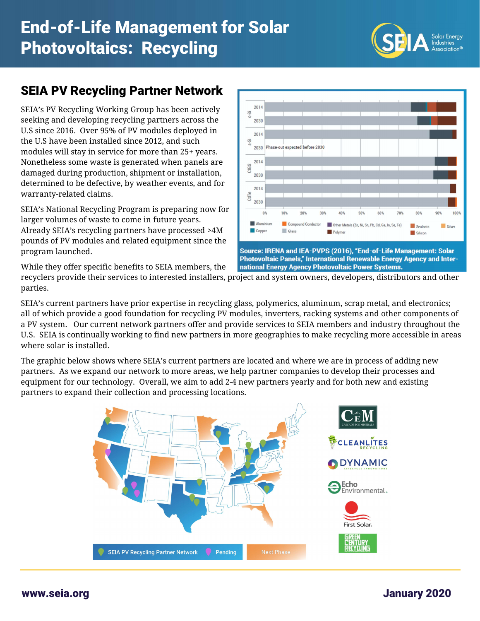

## SEIA PV Recycling Partner Network

SEIA's PV Recycling Working Group has been actively seeking and developing recycling partners across the U.S since 2016. Over 95% of PV modules deployed in the U.S have been installed since 2012, and such modules will stay in service for more than 25+ years. Nonetheless some waste is generated when panels are damaged during production, shipment or installation, determined to be defective, by weather events, and for warranty-related claims.

SEIA's National Recycling Program is preparing now for larger volumes of waste to come in future years. Already SEIA's recycling partners have processed >4M pounds of PV modules and related equipment since the program launched.



Photovoltaic Panels," International Renewable Energy Agency and International Energy Agency Photovoltaic Power Systems.

While they offer specific benefits to SEIA members, the

recyclers provide their services to interested installers, project and system owners, developers, distributors and other parties.

SEIA's current partners have prior expertise in recycling glass, polymerics, aluminum, scrap metal, and electronics; all of which provide a good foundation for recycling PV modules, inverters, racking systems and other components of a PV system. Our current network partners offer and provide services to SEIA members and industry throughout the U.S. SEIA is continually working to find new partners in more geographies to make recycling more accessible in areas where solar is installed.

The graphic below shows where SEIA's current partners are located and where we are in process of adding new partners. As we expand our network to more areas, we help partner companies to develop their processes and equipment for our technology. Overall, we aim to add 2-4 new partners yearly and for both new and existing partners to expand their collection and processing locations.



www.seia.org January 2020